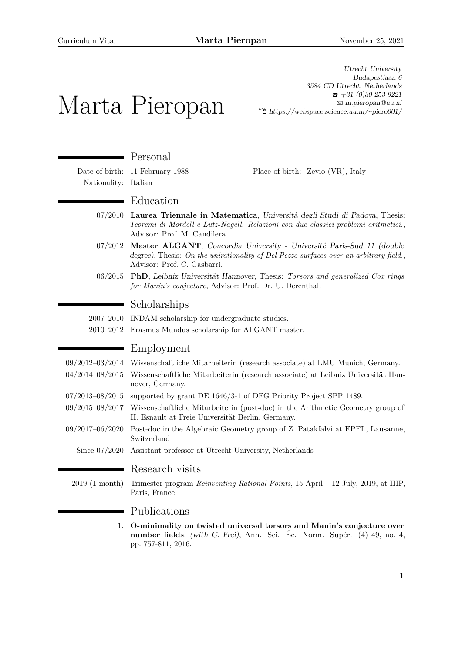Utrecht University

# Marta Pieropan Budapestlaan 6 3584 CD Utrecht, Netherlands  $\hat{ }$  +31 (0)30 253 9221 B [m.pieropan@uu.nl](mailto:m.pieropan@uu.nl)  $\hat{\mathbb{E}}$  [https://webspace.science.uu.nl/~piero001/](http://https://webspace.science.uu.nl/~{}piero001/) Personal Date of birth: 11 February 1988 Place of birth: Zevio (VR), Italy Nationality: Italian ■ Education 07/2010 **Laurea Triennale in Matematica**, Università degli Studi di Padova, Thesis: *Teoremi di Mordell e Lutz-Nagell. Relazioni con due classici problemi aritmetici.*, Advisor: Prof. M. Candilera. 07/2012 **Master ALGANT**, Concordia University - Université Paris-Sud 11 (double degree), Thesis: *On the unirationality of Del Pezzo surfaces over an arbitrary field.*, Advisor: Prof. C. Gasbarri. 06/2015 **PhD**, Leibniz Universität Hannover, Thesis: *Torsors and generalized Cox rings for Manin's conjecture*, Advisor: Prof. Dr. U. Derenthal.

## Scholarships

2007–2010 INDAM scholarship for undergraduate studies.

2010–2012 Erasmus Mundus scholarship for ALGANT master.

## Employment

m.

|  | 09/2012-03/2014 Wissenschaftliche Mitarbeiterin (research associate) at LMU Munich, Germany. |  |  |  |  |
|--|----------------------------------------------------------------------------------------------|--|--|--|--|
|--|----------------------------------------------------------------------------------------------|--|--|--|--|

- 04/2014–08/2015 Wissenschaftliche Mitarbeiterin (research associate) at Leibniz Universität Hannover, Germany.
- 07/2013–08/2015 supported by grant DE 1646/3-1 of DFG Priority Project SPP 1489.
- 09/2015–08/2017 Wissenschaftliche Mitarbeiterin (post-doc) in the Arithmetic Geometry group of H. Esnault at Freie Universität Berlin, Germany.
- 09/2017–06/2020 Post-doc in the Algebraic Geometry group of Z. Patakfalvi at EPFL, Lausanne, Switzerland
	- Since 07/2020 Assistant professor at Utrecht University, Netherlands

## Research visits

2019 (1 month) Trimester program *Reinventing Rational Points*, 15 April – 12 July, 2019, at IHP, Paris, France

## Publications

1. **O-minimality on twisted universal torsors and Manin's conjecture over number fields**, (with C. Frei), Ann. Sci. Éc. Norm. Supér. (4) 49, no. 4, pp. 757-811, 2016.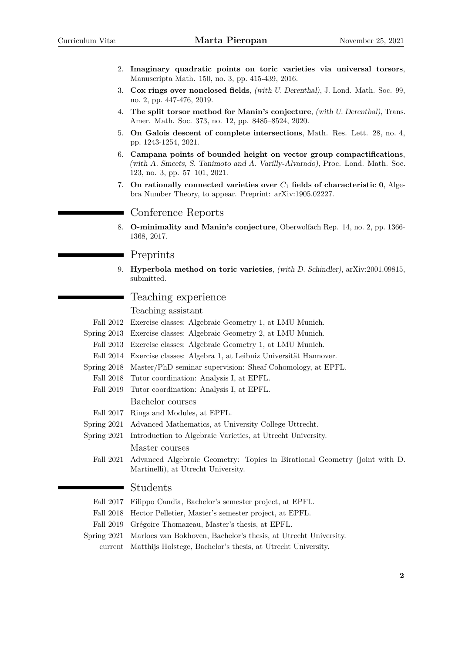- 2. **Imaginary quadratic points on toric varieties via universal torsors**, Manuscripta Math. 150, no. 3, pp. 415-439, 2016.
- 3. **Cox rings over nonclosed fields**, (with U. Derenthal), J. Lond. Math. Soc. 99, no. 2, pp. 447-476, 2019.
- 4. **The split torsor method for Manin's conjecture**, (with U. Derenthal), Trans. Amer. Math. Soc. 373, no. 12, pp. 8485–8524, 2020.
- 5. **On Galois descent of complete intersections**, Math. Res. Lett. 28, no. 4, pp. 1243-1254, 2021.
- 6. **Campana points of bounded height on vector group compactifications**, (with A. Smeets, S. Tanimoto and A. Varilly-Alvarado), Proc. Lond. Math. Soc. 123, no. 3, pp. 57–101, 2021.
- 7. **On rationally connected varieties over** *C*<sup>1</sup> **fields of characteristic 0**, Algebra Number Theory, to appear. Preprint: arXiv:1905.02227.

#### Conference Reports

8. **O-minimality and Manin's conjecture**, Oberwolfach Rep. 14, no. 2, pp. 1366- 1368, 2017.

#### Preprints

9. **Hyperbola method on toric varieties**, (with D. Schindler), arXiv:2001.09815, submitted.

## Teaching experience

Teaching assistant

- Fall 2012 Exercise classes: Algebraic Geometry 1, at LMU Munich.
- Spring 2013 Exercise classes: Algebraic Geometry 2, at LMU Munich.
	- Fall 2013 Exercise classes: Algebraic Geometry 1, at LMU Munich.
- Fall 2014 Exercise classes: Algebra 1, at Leibniz Universität Hannover.
- Spring 2018 Master/PhD seminar supervision: Sheaf Cohomology, at EPFL.
- Fall 2018 Tutor coordination: Analysis I, at EPFL.
- Fall 2019 Tutor coordination: Analysis I, at EPFL.

Bachelor courses

- Fall 2017 Rings and Modules, at EPFL.
- Spring 2021 Advanced Mathematics, at University College Uttrecht.
- Spring 2021 Introduction to Algebraic Varieties, at Utrecht University. Master courses
	- Fall 2021 Advanced Algebraic Geometry: Topics in Birational Geometry (joint with D. Martinelli), at Utrecht University.

### Students

- Fall 2018 Hector Pelletier, Master's semester project, at EPFL.
- Fall 2019 Grégoire Thomazeau, Master's thesis, at EPFL.
- Spring 2021 Marloes van Bokhoven, Bachelor's thesis, at Utrecht University.
	- current Matthijs Holstege, Bachelor's thesis, at Utrecht University.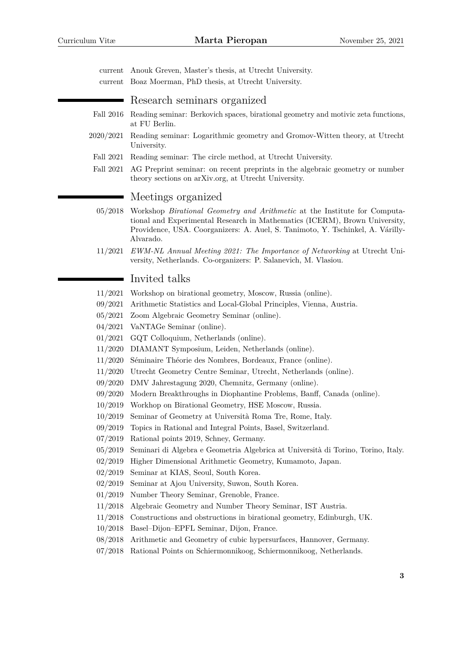| current<br>$\it current$ | Anouk Greven, Master's thesis, at Utrecht University.<br>Boaz Moerman, PhD thesis, at Utrecht University.                                                                                                                                              |  |  |
|--------------------------|--------------------------------------------------------------------------------------------------------------------------------------------------------------------------------------------------------------------------------------------------------|--|--|
|                          | Research seminars organized                                                                                                                                                                                                                            |  |  |
| Fall 2016                | Reading seminar: Berkovich spaces, birational geometry and motivic zeta functions,<br>at FU Berlin.                                                                                                                                                    |  |  |
| 2020/2021                | Reading seminar: Logarithmic geometry and Gromov-Witten theory, at Utrecht<br>University.                                                                                                                                                              |  |  |
| Fall 2021                | Reading seminar: The circle method, at Utrecht University.                                                                                                                                                                                             |  |  |
| Fall 2021                | AG Preprint seminar: on recent preprints in the algebraic geometry or number<br>theory sections on arXiv.org, at Utrecht University.                                                                                                                   |  |  |
|                          | Meetings organized                                                                                                                                                                                                                                     |  |  |
| 05/2018                  | Workshop Birational Geometry and Arithmetic at the Institute for Computa-<br>tional and Experimental Research in Mathematics (ICERM), Brown University,<br>Providence, USA. Coorganizers: A. Auel, S. Tanimoto, Y. Tschinkel, A. Várilly-<br>Alvarado. |  |  |
| 11/2021                  | EWM-NL Annual Meeting 2021: The Importance of Networking at Utrecht Uni-<br>versity, Netherlands. Co-organizers: P. Salanevich, M. Vlasiou.                                                                                                            |  |  |
|                          | Invited talks                                                                                                                                                                                                                                          |  |  |
| 11/2021                  | Workshop on birational geometry, Moscow, Russia (online).                                                                                                                                                                                              |  |  |
| 09/2021                  | Arithmetic Statistics and Local-Global Principles, Vienna, Austria.                                                                                                                                                                                    |  |  |
| 05/2021                  | Zoom Algebraic Geometry Seminar (online).                                                                                                                                                                                                              |  |  |
| 04/2021                  | VaNTAGe Seminar (online).                                                                                                                                                                                                                              |  |  |
| 01/2021                  | GQT Colloquium, Netherlands (online).                                                                                                                                                                                                                  |  |  |
| 11/2020                  | DIAMANT Symposium, Leiden, Netherlands (online).                                                                                                                                                                                                       |  |  |
| 11/2020                  | Séminaire Théorie des Nombres, Bordeaux, France (online).                                                                                                                                                                                              |  |  |
| 11/2020                  | Utrecht Geometry Centre Seminar, Utrecht, Netherlands (online).                                                                                                                                                                                        |  |  |
| 09/2020                  | DMV Jahrestagung 2020, Chemnitz, Germany (online).                                                                                                                                                                                                     |  |  |
| 09/2020                  | Modern Breakthroughs in Diophantine Problems, Banff, Canada (online).                                                                                                                                                                                  |  |  |
| 10/2019                  | Workhop on Birational Geometry, HSE Moscow, Russia.                                                                                                                                                                                                    |  |  |
| 10/2019                  | Seminar of Geometry at Università Roma Tre, Rome, Italy.                                                                                                                                                                                               |  |  |
| 09/2019                  | Topics in Rational and Integral Points, Basel, Switzerland.                                                                                                                                                                                            |  |  |
| 07/2019                  | Rational points 2019, Schney, Germany.                                                                                                                                                                                                                 |  |  |
| 05/2019                  | Seminari di Algebra e Geometria Algebrica at Università di Torino, Torino, Italy.                                                                                                                                                                      |  |  |
| 02/2019                  | Higher Dimensional Arithmetic Geometry, Kumamoto, Japan.                                                                                                                                                                                               |  |  |
| 02/2019                  | Seminar at KIAS, Seoul, South Korea.                                                                                                                                                                                                                   |  |  |
| 02/2019                  | Seminar at Ajou University, Suwon, South Korea.                                                                                                                                                                                                        |  |  |
| 01/2019                  | Number Theory Seminar, Grenoble, France.                                                                                                                                                                                                               |  |  |
| 11/2018                  | Algebraic Geometry and Number Theory Seminar, IST Austria.                                                                                                                                                                                             |  |  |
| 11/2018                  | Constructions and obstructions in birational geometry, Edinburgh, UK.                                                                                                                                                                                  |  |  |
| 10/2018                  | Basel-Dijon-EPFL Seminar, Dijon, France.                                                                                                                                                                                                               |  |  |
| 08/2018                  | Arithmetic and Geometry of cubic hypersurfaces, Hannover, Germany.                                                                                                                                                                                     |  |  |
| 07/2018                  | Rational Points on Schiermonnikoog, Schiermonnikoog, Netherlands.                                                                                                                                                                                      |  |  |
|                          | 3                                                                                                                                                                                                                                                      |  |  |
|                          |                                                                                                                                                                                                                                                        |  |  |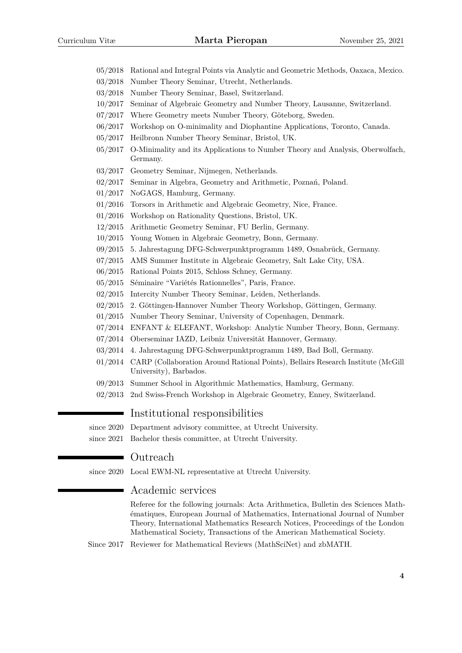- 05/2018 Rational and Integral Points via Analytic and Geometric Methods, Oaxaca, Mexico.
- 03/2018 Number Theory Seminar, Utrecht, Netherlands.
- 03/2018 Number Theory Seminar, Basel, Switzerland.
- 10/2017 Seminar of Algebraic Geometry and Number Theory, Lausanne, Switzerland.
- 07/2017 Where Geometry meets Number Theory, Göteborg, Sweden.
- 06/2017 Workshop on O-minimality and Diophantine Applications, Toronto, Canada.
- 05/2017 Heilbronn Number Theory Seminar, Bristol, UK.
- 05/2017 O-Minimality and its Applications to Number Theory and Analysis, Oberwolfach, Germany.
- 03/2017 Geometry Seminar, Nijmegen, Netherlands.
- 02/2017 Seminar in Algebra, Geometry and Arithmetic, Poznań, Poland.
- 01/2017 NoGAGS, Hamburg, Germany.
- 01/2016 Torsors in Arithmetic and Algebraic Geometry, Nice, France.
- 01/2016 Workshop on Rationality Questions, Bristol, UK.
- 12/2015 Arithmetic Geometry Seminar, FU Berlin, Germany.
- 10/2015 Young Women in Algebraic Geometry, Bonn, Germany.
- 09/2015 5. Jahrestagung DFG-Schwerpunktprogramm 1489, Osnabrück, Germany.
- 07/2015 AMS Summer Institute in Algebraic Geometry, Salt Lake City, USA.
- 06/2015 Rational Points 2015, Schloss Schney, Germany.
- 05/2015 Séminaire "Variétés Rationnelles", Paris, France.
- 02/2015 Intercity Number Theory Seminar, Leiden, Netherlands.
- 02/2015 2. Göttingen-Hannover Number Theory Workshop, Göttingen, Germany.
- 01/2015 Number Theory Seminar, University of Copenhagen, Denmark.
- 07/2014 ENFANT & ELEFANT, Workshop: Analytic Number Theory, Bonn, Germany.
- 07/2014 Oberseminar IAZD, Leibniz Universität Hannover, Germany.
- 03/2014 4. Jahrestagung DFG-Schwerpunktprogramm 1489, Bad Boll, Germany.
- 01/2014 CARP (Collaboration Around Rational Points), Bellairs Research Institute (McGill University), Barbados.
- 09/2013 Summer School in Algorithmic Mathematics, Hamburg, Germany.
- 02/2013 2nd Swiss-French Workshop in Algebraic Geometry, Enney, Switzerland.

#### Institutional responsibilities

since 2020 Department advisory committee, at Utrecht University.

since 2021 Bachelor thesis committee, at Utrecht University.

#### Outreach

since 2020 Local EWM-NL representative at Utrecht University.

#### Academic services

Referee for the following journals: Acta Arithmetica, Bulletin des Sciences Mathématiques, European Journal of Mathematics, International Journal of Number Theory, International Mathematics Research Notices, Proceedings of the London Mathematical Society, Transactions of the American Mathematical Society.

Since 2017 Reviewer for Mathematical Reviews (MathSciNet) and zbMATH.